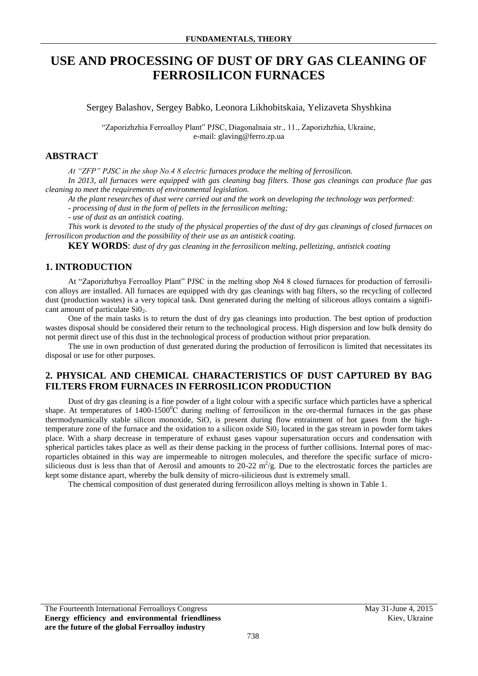# **USE AND PROCESSING OF DUST OF DRY GAS CLEANING OF FERROSILICON FURNACES**

Sergey Balashov, Sergey Babko, Leonora Likhobitskaia, Yelizaveta Shyshkina

"Zaporizhzhia Ferroalloy Plant" PJSC, Diagonalnaia str., 11., Zaporizhzhia, Ukraine, e-mail: glaving@ferro.zp.ua

#### **ABSTRACT**

*At "ZFP" PJSC in the shop No.4 8 electric furnaces produce the melting of ferrosilicon.* 

*In 2013, all furnaces were equipped with gas cleaning bag filters. Those gas cleanings can produce flue gas cleaning to meet the requirements of environmental legislation.* 

*At the plant researches of dust were carried out and the work on developing the technology was performed:*

*- processing of dust in the form of pellets in the ferrosilicon melting;* 

*- use of dust as an antistick coating.* 

*This work is devoted to the study of the physical properties of the dust of dry gas cleanings of closed furnaces on ferrosilicon production and the possibility of their use as an antistick coating.* 

**KEY WORDS**: *dust of dry gas cleaning in the ferrosilicon melting, pelletizing, antistick coating*

#### **1. INTRODUCTION**

At "Zaporizhzhya Ferroalloy Plant" PJSC in the melting shop №4 8 closed furnaces for production of ferrosilicon alloys are installed. All furnaces are equipped with dry gas cleanings with bag filters, so the recycling of collected dust (production wastes) is a very topical task. Dust generated during the melting of siliceous alloys contains a significant amount of particulate  $SiO<sub>2</sub>$ .

One of the main tasks is to return the dust of dry gas cleanings into production. The best option of production wastes disposal should be considered their return to the technological process. High dispersion and low bulk density do not permit direct use of this dust in the technological process of production without prior preparation.

The use in own production of dust generated during the production of ferrosilicon is limited that necessitates its disposal or use for other purposes.

## **2. PHYSICAL AND CHEMICAL CHARACTERISTICS OF DUST CAPTURED BY BAG FILTERS FROM FURNACES IN FERROSILICON PRODUCTION**

Dust of dry gas cleaning is a fine powder of a light colour with a specific surface which particles have a spherical shape. At temperatures of  $1400-1500^{\circ}$ C during melting of ferrosilicon in the ore-thermal furnaces in the gas phase thermodynamically stable silicon monoxide, SiO, is present during flow entrainment of hot gases from the hightemperature zone of the furnace and the oxidation to a silicon oxide  $SiO<sub>2</sub>$  located in the gas stream in powder form takes place. With a sharp decrease in temperature of exhaust gases vapour supersaturation occurs and condensation with spherical particles takes place as well as their dense packing in the process of further collisions. Internal pores of macroparticles obtained in this way are impermeable to nitrogen molecules, and therefore the specific surface of microsilicieous dust is less than that of Aerosil and amounts to 20-22  $m^2/g$ . Due to the electrostatic forces the particles are kept some distance apart, whereby the bulk density of micro-silicieous dust is extremely small.

The chemical composition of dust generated during ferrosilicon alloys melting is shown in Table 1.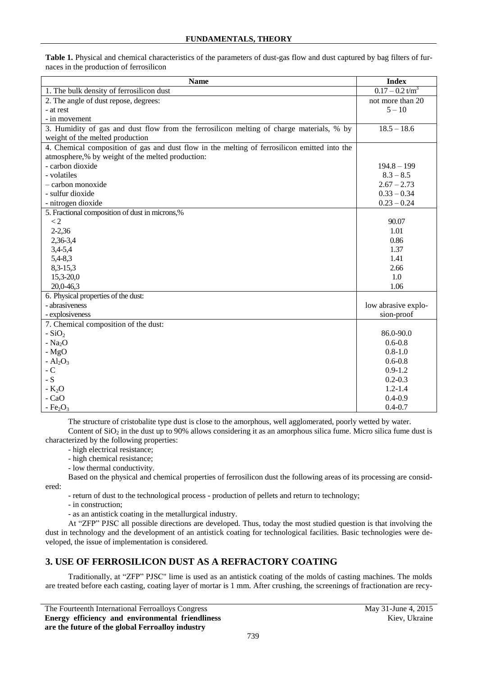| <b>Name</b>                                                                                  | <b>Index</b>                  |
|----------------------------------------------------------------------------------------------|-------------------------------|
| 1. The bulk density of ferrosilicon dust                                                     | $0.17 - 0.2$ t/m <sup>3</sup> |
| 2. The angle of dust repose, degrees:                                                        | not more than 20              |
| - at rest                                                                                    | $5 - 10$                      |
| - in movement                                                                                |                               |
| 3. Humidity of gas and dust flow from the ferrosilicon melting of charge materials, % by     | $18.5 - 18.6$                 |
| weight of the melted production                                                              |                               |
| 4. Chemical composition of gas and dust flow in the melting of ferrosilicon emitted into the |                               |
| atmosphere,% by weight of the melted production:                                             |                               |
| - carbon dioxide                                                                             | $194.8 - 199$                 |
| - volatiles                                                                                  | $8.3 - 8.5$                   |
| - carbon monoxide                                                                            | $2.67 - 2.73$                 |
| - sulfur dioxide                                                                             | $0.33 - 0.34$                 |
| - nitrogen dioxide                                                                           | $0.23 - 0.24$                 |
| 5. Fractional composition of dust in microns,%                                               |                               |
| $\lt 2$                                                                                      | 90.07                         |
| $2 - 2,36$                                                                                   | 1.01                          |
| 2,36-3,4                                                                                     | 0.86                          |
| $3,4-5,4$                                                                                    | 1.37                          |
| $5,4-8,3$                                                                                    | 1.41                          |
| $8,3-15,3$                                                                                   | 2.66                          |
| $15,3-20,0$                                                                                  | 1.0                           |
| 20,0-46,3                                                                                    | 1.06                          |
| 6. Physical properties of the dust:                                                          |                               |
| - abrasiveness                                                                               | low abrasive explo-           |
| - explosiveness                                                                              | sion-proof                    |
| 7. Chemical composition of the dust:                                                         |                               |
| - $SiO2$                                                                                     | 86.0-90.0                     |
| - $Na2O$                                                                                     | $0.6 - 0.8$                   |
| $-MgO$                                                                                       | $0.8 - 1.0$                   |
| - $Al_2O_3$                                                                                  | $0.6 - 0.8$                   |
| $-C$                                                                                         | $0.9 - 1.2$                   |
| - S                                                                                          | $0.2 - 0.3$                   |
| $-K2O$                                                                                       | $1.2 - 1.4$                   |
| - CaO                                                                                        | $0.4 - 0.9$                   |
| $-Fe2O3$                                                                                     | $0.4 - 0.7$                   |

**Table 1.** Physical and chemical characteristics of the parameters of dust-gas flow and dust captured by bag filters of furnaces in the production of ferrosilicon

The structure of cristobalite type dust is close to the amorphous, well agglomerated, poorly wetted by water. Content of  $SiO<sub>2</sub>$  in the dust up to 90% allows considering it as an amorphous silica fume. Micro silica fume dust is characterized by the following properties:

- high electrical resistance;

- high chemical resistance;

- low thermal conductivity.

Based on the physical and chemical properties of ferrosilicon dust the following areas of its processing are considered:

- return of dust to the technological process - production of pellets and return to technology;

- in construction;

- as an antistick coating in the metallurgical industry.

At "ZFP" PJSC all possible directions are developed. Thus, today the most studied question is that involving the dust in technology and the development of an antistick coating for technological facilities. Basic technologies were developed, the issue of implementation is considered.

## **3. USE OF FERROSILICON DUST AS A REFRACTORY COATING**

Traditionally, at "ZFP" PJSC" lime is used as an antistick coating of the molds of casting machines. The molds are treated before each casting, coating layer of mortar is 1 mm. After crushing, the screenings of fractionation are recy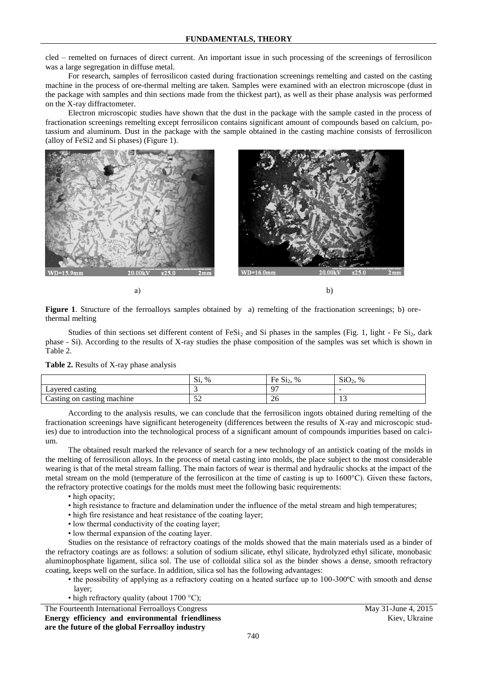cled – remelted on furnaces of direct current. An important issue in such processing of the screenings of ferrosilicon was a large segregation in diffuse metal.

For research, samples of ferrosilicon casted during fractionation screenings remelting and casted on the casting machine in the process of ore-thermal melting are taken. Samples were examined with an electron microscope (dust in the package with samples and thin sections made from the thickest part), as well as their phase analysis was performed on the X-ray diffractometer.

Electron microscopic studies have shown that the dust in the package with the sample casted in the process of fractionation screenings remelting except ferrosilicon contains significant amount of compounds based on calcium, potassium and aluminum. Dust in the package with the sample obtained in the casting machine consists of ferrosilicon (alloy of FeSi2 and Si phases) (Figure 1).



a) b)

Figure 1. Structure of the ferroalloys samples obtained by a) remelting of the fractionation screenings; b) orethermal melting

Studies of thin sections set different content of FeSi<sub>2</sub> and Si phases in the samples (Fig. 1, light - Fe Si<sub>2</sub>, dark phase - Si). According to the results of X-ray studies the phase composition of the samples was set which is shown in Table 2.

| Table 2. Results of X-ray phase analysis |  |  |  |  |
|------------------------------------------|--|--|--|--|
|------------------------------------------|--|--|--|--|

|                                                | $\sim$<br>$\%$<br>S <sub>1</sub> | $\sim$<br>Ē<br>$\%$<br>FeS <sub>12</sub> | SiO <sub>2</sub><br>$\%$ |
|------------------------------------------------|----------------------------------|------------------------------------------|--------------------------|
| Layered casting                                |                                  | $\sim$                                   |                          |
| machine<br><sub>on</sub><br>Casting<br>casting | - ^<br>ىدر                       | ⌒<br>ZU                                  | . L . J                  |

According to the analysis results, we can conclude that the ferrosilicon ingots obtained during remelting of the fractionation screenings have significant heterogeneity (differences between the results of X-ray and microscopic studies) due to introduction into the technological process of a significant amount of compounds impurities based on calcium.

The obtained result marked the relevance of search for a new technology of an antistick coating of the molds in the melting of ferrosilicon alloys. In the process of metal casting into molds, the place subject to the most considerable wearing is that of the metal stream falling. The main factors of wear is thermal and hydraulic shocks at the impact of the metal stream on the mold (temperature of the ferrosilicon at the time of casting is up to 1600°C). Given these factors, the refractory protective coatings for the molds must meet the following basic requirements:

- high opacity;
- high resistance to fracture and delamination under the influence of the metal stream and high temperatures;
- high fire resistance and heat resistance of the coating layer;
- low thermal conductivity of the coating layer;
- low thermal expansion of the coating layer.

Studies on the resistance of refractory coatings of the molds showed that the main materials used as a binder of the refractory coatings are as follows: a solution of sodium silicate, ethyl silicate, hydrolyzed ethyl silicate, monobasic aluminophosphate ligament, silica sol. The use of colloidal silica sol as the binder shows a dense, smooth refractory coating, keeps well on the surface. In addition, silica sol has the following advantages:

- the possibility of applying as a refractory coating on a heated surface up to 100-300ºC with smooth and dense layer;
- high refractory quality (about 1700 °C);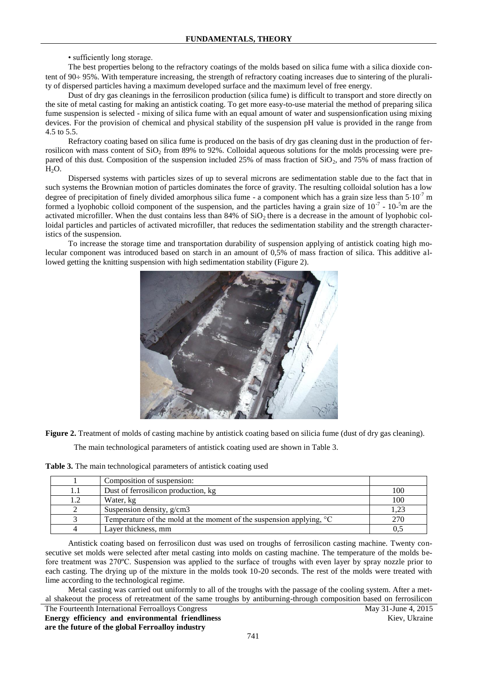#### • sufficiently long storage.

The best properties belong to the refractory coatings of the molds based on silica fume with a silica dioxide content of  $90 \div 95\%$ . With temperature increasing, the strength of refractory coating increases due to sintering of the plurality of dispersed particles having a maximum developed surface and the maximum level of free energy.

Dust of dry gas cleanings in the ferrosilicon production (silica fume) is difficult to transport and store directly on the site of metal casting for making an antistick coating. To get more easy-to-use material the method of preparing silica fume suspension is selected - mixing of silica fume with an equal amount of water and suspensionfication using mixing devices. For the provision of chemical and physical stability of the suspension pH value is provided in the range from 4.5 to 5.5.

Refractory coating based on silica fume is produced on the basis of dry gas cleaning dust in the production of ferrosilicon with mass content of  $SiO<sub>2</sub>$  from 89% to 92%. Colloidal aqueous solutions for the molds processing were prepared of this dust. Composition of the suspension included 25% of mass fraction of  $SiO_2$ , and 75% of mass fraction of  $H_2O$ .

Dispersed systems with particles sizes of up to several microns are sedimentation stable due to the fact that in such systems the Brownian motion of particles dominates the force of gravity. The resulting colloidal solution has a low degree of precipitation of finely divided amorphous silica fume - a component which has a grain size less than  $5.10^{-7}$  m formed a lyophobic colloid component of the suspension, and the particles having a grain size of  $10^{-7}$  -  $10^{-5}$ m are the activated microfiller. When the dust contains less than  $84\%$  of  $SiO<sub>2</sub>$  there is a decrease in the amount of lyophobic colloidal particles and particles of activated microfiller, that reduces the sedimentation stability and the strength characteristics of the suspension.

To increase the storage time and transportation durability of suspension applying of antistick coating high molecular component was introduced based on starch in an amount of 0,5% of mass fraction of silica. This additive allowed getting the knitting suspension with high sedimentation stability (Figure 2).



**Figure 2.** Treatment of molds of casting machine by antistick coating based on silicia fume (dust of dry gas cleaning).

The main technological parameters of antistick coating used are shown in Table 3.

**Table 3.** The main technological parameters of antistick coating used

| Composition of suspension:                                                    |      |
|-------------------------------------------------------------------------------|------|
| Dust of ferrosilicon production, kg                                           | 100  |
| Water, kg                                                                     | 100  |
| Suspension density, $g/cm3$                                                   | 1,23 |
| Temperature of the mold at the moment of the suspension applying, $\degree$ C | 270  |
| Layer thickness, mm                                                           |      |

Antistick coating based on ferrosilicon dust was used on troughs of ferrosilicon casting machine. Twenty consecutive set molds were selected after metal casting into molds on casting machine. The temperature of the molds before treatment was 270ºC. Suspension was applied to the surface of troughs with even layer by spray nozzle prior to each casting. The drying up of the mixture in the molds took 10-20 seconds. The rest of the molds were treated with lime according to the technological regime.

Metal casting was carried out uniformly to all of the troughs with the passage of the cooling system. After a metal shakeout the process of retreatment of the same troughs by antiburning-through composition based on ferrosilicon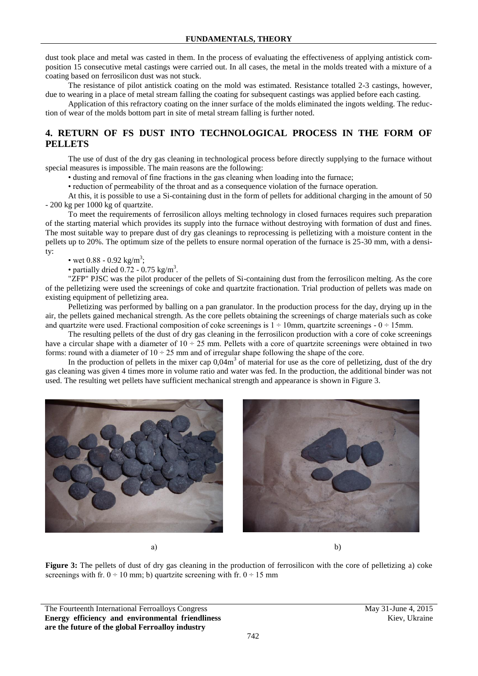dust took place and metal was casted in them. In the process of evaluating the effectiveness of applying antistick composition 15 consecutive metal castings were carried out. In all cases, the metal in the molds treated with a mixture of a coating based on ferrosilicon dust was not stuck.

The resistance of pilot antistick coating on the mold was estimated. Resistance totalled 2-3 castings, however, due to wearing in a place of metal stream falling the coating for subsequent castings was applied before each casting.

Application of this refractory coating on the inner surface of the molds eliminated the ingots welding. The reduction of wear of the molds bottom part in site of metal stream falling is further noted.

## **4. RETURN OF FS DUST INTO TECHNOLOGICAL PROCESS IN THE FORM OF PELLETS**

The use of dust of the dry gas cleaning in technological process before directly supplying to the furnace without special measures is impossible. The main reasons are the following:

• dusting and removal of fine fractions in the gas cleaning when loading into the furnace;

• reduction of permeability of the throat and as a consequence violation of the furnace operation.

At this, it is possible to use a Si-containing dust in the form of pellets for additional charging in the amount of 50 - 200 kg per 1000 kg of quartzite.

To meet the requirements of ferrosilicon alloys melting technology in closed furnaces requires such preparation of the starting material which provides its supply into the furnace without destroying with formation of dust and fines. The most suitable way to prepare dust of dry gas cleanings to reprocessing is pelletizing with a moisture content in the pellets up to 20%. The optimum size of the pellets to ensure normal operation of the furnace is 25-30 mm, with a density:

#### • wet 0.88 - 0.92 kg/m<sup>3</sup>;

• partially dried  $0.72 - 0.75$  kg/m<sup>3</sup>.

"ZFP" PJSC was the pilot producer of the pellets of Si-containing dust from the ferrosilicon melting. As the core of the pelletizing were used the screenings of coke and quartzite fractionation. Trial production of pellets was made on existing equipment of pelletizing area.

Pelletizing was performed by balling on a pan granulator. In the production process for the day, drying up in the air, the pellets gained mechanical strength. As the core pellets obtaining the screenings of charge materials such as coke and quartzite were used. Fractional composition of coke screenings is  $1 \div 10$ mm, quartzite screenings -  $0 \div 15$ mm.

The resulting pellets of the dust of dry gas cleaning in the ferrosilicon production with a core of coke screenings have a circular shape with a diameter of  $10 \div 25$  mm. Pellets with a core of quartzite screenings were obtained in two forms: round with a diameter of  $10 \div 25$  mm and of irregular shape following the shape of the core.

In the production of pellets in the mixer cap  $0.04m<sup>3</sup>$  of material for use as the core of pelletizing, dust of the dry gas cleaning was given 4 times more in volume ratio and water was fed. In the production, the additional binder was not used. The resulting wet pellets have sufficient mechanical strength and appearance is shown in Figure 3.



a) b)

**Figure 3:** The pellets of dust of dry gas cleaning in the production of ferrosilicon with the core of pelletizing a) coke screenings with fr.  $0 \div 10$  mm; b) quartzite screening with fr.  $0 \div 15$  mm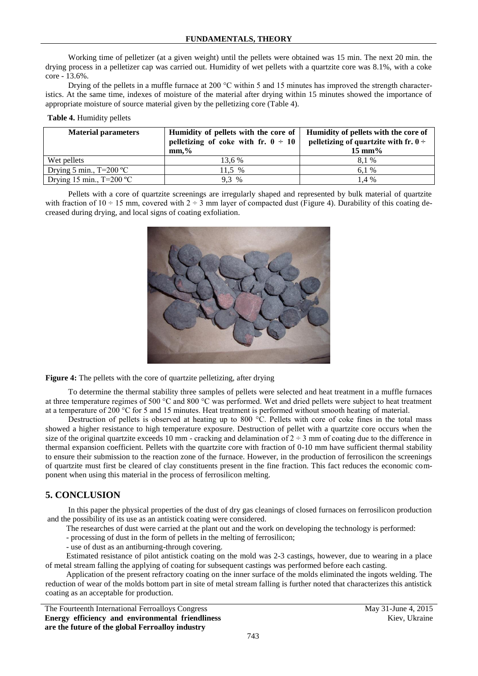Working time of pelletizer (at a given weight) until the pellets were obtained was 15 min. The next 20 min. the drying process in a pelletizer cap was carried out. Humidity of wet pellets with a quartzite core was 8.1%, with a coke core - 13.6%.

Drying of the pellets in a muffle furnace at 200  $^{\circ}$ C within 5 and 15 minutes has improved the strength characteristics. At the same time, indexes of moisture of the material after drying within 15 minutes showed the importance of appropriate moisture of source material given by the pelletizing core (Table 4).

#### **Table 4.** Humidity pellets

| <b>Material parameters</b>        | Humidity of pellets with the core of<br>pelletizing of coke with fr. $0 \div 10$<br>$mm\cdot\%$ | Humidity of pellets with the core of<br>pelletizing of quartzite with fr. $0 \div$<br>$15 \text{ mm}$ % |
|-----------------------------------|-------------------------------------------------------------------------------------------------|---------------------------------------------------------------------------------------------------------|
| Wet pellets                       | 13.6 %                                                                                          | 8.1 %                                                                                                   |
| Drying 5 min., $T=200 \degree C$  | 11.5 %                                                                                          | 6.1 \%                                                                                                  |
| Drying 15 min., $T=200 \degree C$ | $9.3\%$                                                                                         | 1.4 %                                                                                                   |

Pellets with a core of quartzite screenings are irregularly shaped and represented by bulk material of quartzite with fraction of  $10 \div 15$  mm, covered with  $2 \div 3$  mm layer of compacted dust (Figure 4). Durability of this coating decreased during drying, and local signs of coating exfoliation.



**Figure 4:** The pellets with the core of quartzite pelletizing, after drying

To determine the thermal stability three samples of pellets were selected and heat treatment in a muffle furnaces at three temperature regimes of 500 °C and 800 °C was performed. Wet and dried pellets were subject to heat treatment at a temperature of 200 °C for 5 and 15 minutes. Heat treatment is performed without smooth heating of material.

Destruction of pellets is observed at heating up to 800 °C. Pellets with core of coke fines in the total mass showed a higher resistance to high temperature exposure. Destruction of pellet with a quartzite core occurs when the size of the original quartzite exceeds 10 mm - cracking and delamination of  $2 \div 3$  mm of coating due to the difference in thermal expansion coefficient. Pellets with the quartzite core with fraction of 0-10 mm have sufficient thermal stability to ensure their submission to the reaction zone of the furnace. However, in the production of ferrosilicon the screenings of quartzite must first be cleared of clay constituents present in the fine fraction. This fact reduces the economic component when using this material in the process of ferrosilicon melting.

#### **5. CONCLUSION**

In this paper the physical properties of the dust of dry gas cleanings of closed furnaces on ferrosilicon production and the possibility of its use as an antistick coating were considered.

The researches of dust were carried at the plant out and the work on developing the technology is performed:

- processing of dust in the form of pellets in the melting of ferrosilicon;

- use of dust as an antiburning-through covering.

Estimated resistance of pilot antistick coating on the mold was 2-3 castings, however, due to wearing in a place of metal stream falling the applying of coating for subsequent castings was performed before each casting.

Application of the present refractory coating on the inner surface of the molds eliminated the ingots welding. The reduction of wear of the molds bottom part in site of metal stream falling is further noted that characterizes this antistick coating as an acceptable for production.